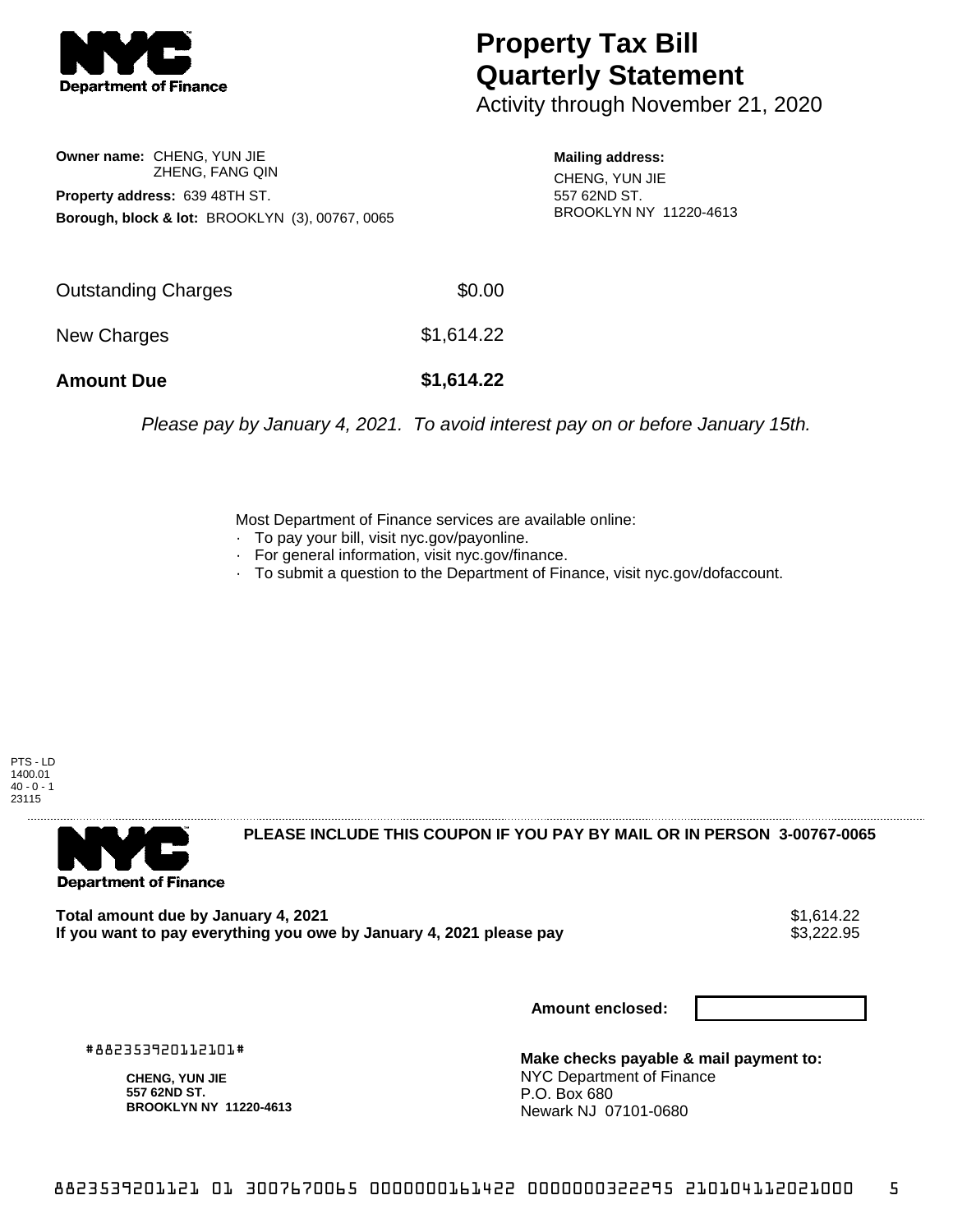

## **Property Tax Bill Quarterly Statement**

Activity through November 21, 2020

**Owner name:** CHENG, YUN JIE ZHENG, FANG QIN **Property address:** 639 48TH ST. **Borough, block & lot:** BROOKLYN (3), 00767, 0065

**Mailing address:** CHENG, YUN JIE 557 62ND ST. BROOKLYN NY 11220-4613

| <b>Amount Due</b>   | \$1,614.22 |
|---------------------|------------|
| New Charges         | \$1,614.22 |
| Outstanding Charges | \$0.00     |

Please pay by January 4, 2021. To avoid interest pay on or before January 15th.

Most Department of Finance services are available online:

- · To pay your bill, visit nyc.gov/payonline.
- For general information, visit nyc.gov/finance.
- · To submit a question to the Department of Finance, visit nyc.gov/dofaccount.

PTS - LD 1400.01  $40 - 0 - 1$ 23115



**PLEASE INCLUDE THIS COUPON IF YOU PAY BY MAIL OR IN PERSON 3-00767-0065** 

Total amount due by January 4, 2021<br>If you want to pay everything you owe by January 4, 2021 please pay **ship and the same of the set of the s**3,222.95 If you want to pay everything you owe by January 4, 2021 please pay

**Amount enclosed:**

#882353920112101#

**CHENG, YUN JIE 557 62ND ST. BROOKLYN NY 11220-4613**

**Make checks payable & mail payment to:** NYC Department of Finance P.O. Box 680 Newark NJ 07101-0680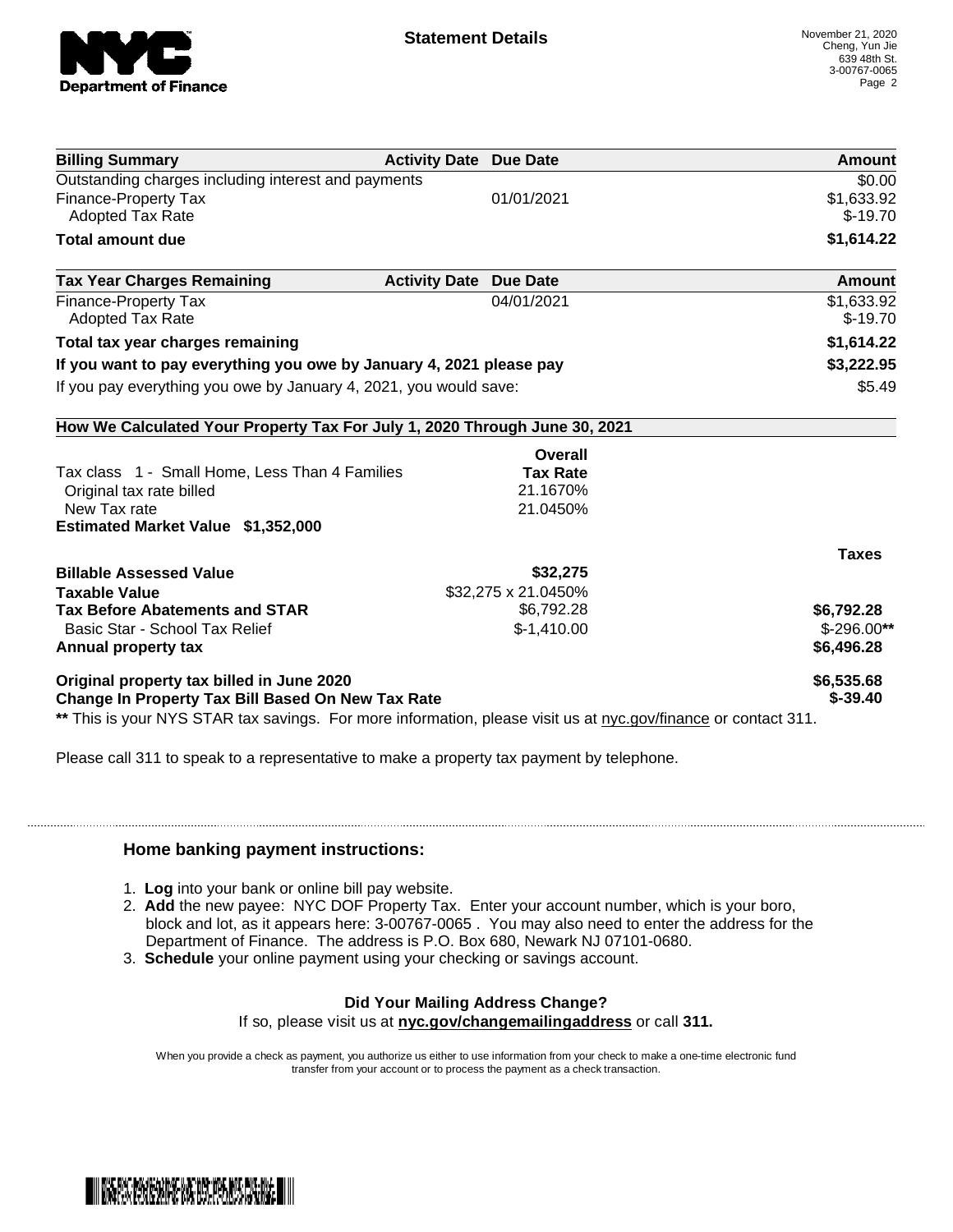

| <b>Billing Summary</b>                                                     | <b>Activity Date Due Date</b> | Amount       |
|----------------------------------------------------------------------------|-------------------------------|--------------|
| Outstanding charges including interest and payments                        |                               | \$0.00       |
| Finance-Property Tax                                                       | 01/01/2021                    | \$1,633.92   |
| <b>Adopted Tax Rate</b>                                                    |                               | $$-19.70$    |
| <b>Total amount due</b>                                                    |                               | \$1,614.22   |
| <b>Tax Year Charges Remaining</b>                                          | <b>Activity Date Due Date</b> | Amount       |
| Finance-Property Tax                                                       | 04/01/2021                    | \$1,633.92   |
| <b>Adopted Tax Rate</b>                                                    |                               | $$-19.70$    |
| Total tax year charges remaining                                           |                               | \$1,614.22   |
| If you want to pay everything you owe by January 4, 2021 please pay        |                               | \$3,222.95   |
| If you pay everything you owe by January 4, 2021, you would save:          |                               | \$5.49       |
| How We Calculated Your Property Tax For July 1, 2020 Through June 30, 2021 |                               |              |
|                                                                            | <b>Overall</b>                |              |
| Tax class 1 - Small Home, Less Than 4 Families                             | <b>Tax Rate</b>               |              |
| Original tax rate billed                                                   | 21.1670%                      |              |
| New Tax rate                                                               | 21.0450%                      |              |
| <b>Estimated Market Value \$1,352,000</b>                                  |                               |              |
|                                                                            |                               | <b>Taxes</b> |
| <b>Billable Assessed Value</b>                                             | \$32,275                      |              |
| <b>Taxable Value</b>                                                       | \$32,275 x 21.0450%           |              |
| <b>Tax Before Abatements and STAR</b>                                      | \$6,792.28                    | \$6,792.28   |
| Basic Star - School Tax Relief                                             | $$-1,410.00$                  | $$-296.00**$ |
| Annual property tax                                                        |                               | \$6,496.28   |
| Original property tax billed in June 2020                                  |                               | \$6,535.68   |
| <b>Change In Property Tax Bill Based On New Tax Rate</b>                   |                               | $$ -39.40$   |

Please call 311 to speak to a representative to make a property tax payment by telephone.

## **Home banking payment instructions:**

- 1. **Log** into your bank or online bill pay website.
- 2. **Add** the new payee: NYC DOF Property Tax. Enter your account number, which is your boro, block and lot, as it appears here: 3-00767-0065 . You may also need to enter the address for the Department of Finance. The address is P.O. Box 680, Newark NJ 07101-0680.
- 3. **Schedule** your online payment using your checking or savings account.

## **Did Your Mailing Address Change?**

If so, please visit us at **nyc.gov/changemailingaddress** or call **311.**

When you provide a check as payment, you authorize us either to use information from your check to make a one-time electronic fund transfer from your account or to process the payment as a check transaction.